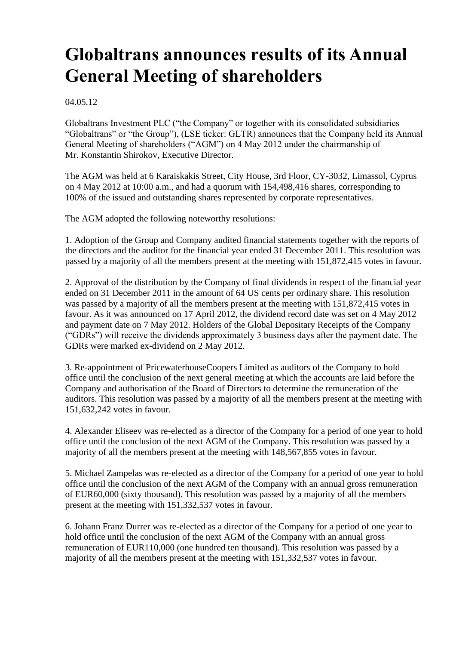# **Globaltrans announces results of its Annual General Meeting of shareholders**

04.05.12

Globaltrans Investment PLC ("the Company" or together with its consolidated subsidiaries "Globaltrans" or "the Group"), (LSE ticker: GLTR) announces that the Company held its Annual General Meeting of shareholders ("AGM") on 4 May 2012 under the chairmanship of Mr. Konstantin Shirokov, Executive Director.

The AGM was held at 6 Karaiskakis Street, City House, 3rd Floor, CY-3032, Limassol, Cyprus on 4 May 2012 at 10:00 a.m., and had a quorum with 154,498,416 shares, corresponding to 100% of the issued and outstanding shares represented by corporate representatives.

The AGM adopted the following noteworthy resolutions:

1. Adoption of the Group and Company audited financial statements together with the reports of the directors and the auditor for the financial year ended 31 December 2011. This resolution was passed by a majority of all the members present at the meeting with 151,872,415 votes in favour.

2. Approval of the distribution by the Company of final dividends in respect of the financial year ended on 31 December 2011 in the amount of 64 US cents per ordinary share. This resolution was passed by a majority of all the members present at the meeting with 151,872,415 votes in favour. As it was announced on 17 April 2012, the dividend record date was set on 4 May 2012 and payment date on 7 May 2012. Holders of the Global Depositary Receipts of the Company ("GDRs") will receive the dividends approximately 3 business days after the payment date. The GDRs were marked ex-dividend on 2 May 2012.

3. Re-appointment of PricewaterhouseCoopers Limited as auditors of the Company to hold office until the conclusion of the next general meeting at which the accounts are laid before the Company and authorisation of the Board of Directors to determine the remuneration of the auditors. This resolution was passed by a majority of all the members present at the meeting with 151,632,242 votes in favour.

4. Alexander Eliseev was re-elected as a director of the Company for a period of one year to hold office until the conclusion of the next AGM of the Company. This resolution was passed by a majority of all the members present at the meeting with 148,567,855 votes in favour.

5. Michael Zampelas was re-elected as a director of the Company for a period of one year to hold office until the conclusion of the next AGM of the Company with an annual gross remuneration of EUR60,000 (sixty thousand). This resolution was passed by a majority of all the members present at the meeting with 151,332,537 votes in favour.

6. Johann Franz Durrer was re-elected as a director of the Company for a period of one year to hold office until the conclusion of the next AGM of the Company with an annual gross remuneration of EUR110,000 (one hundred ten thousand). This resolution was passed by a majority of all the members present at the meeting with 151,332,537 votes in favour.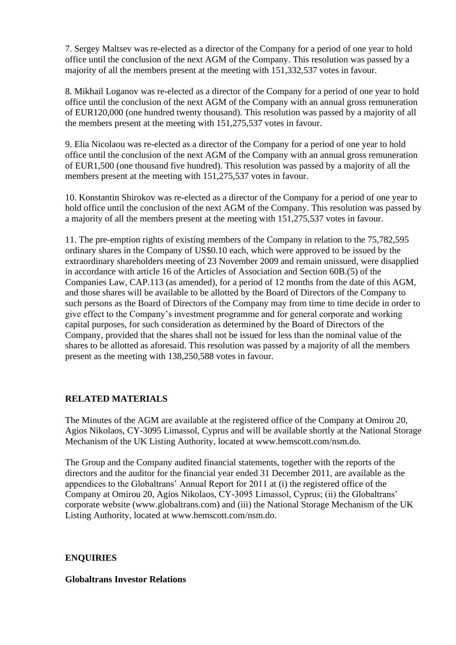7. Sergey Maltsev was re-elected as a director of the Company for a period of one year to hold office until the conclusion of the next AGM of the Company. This resolution was passed by a majority of all the members present at the meeting with 151,332,537 votes in favour.

8. Mikhail Loganov was re-elected as a director of the Company for a period of one year to hold office until the conclusion of the next AGM of the Company with an annual gross remuneration of EUR120,000 (one hundred twenty thousand). This resolution was passed by a majority of all the members present at the meeting with 151,275,537 votes in favour.

9. Elia Nicolaou was re-elected as a director of the Company for a period of one year to hold office until the conclusion of the next AGM of the Company with an annual gross remuneration of EUR1,500 (one thousand five hundred). This resolution was passed by a majority of all the members present at the meeting with 151,275,537 votes in favour.

10. Konstantin Shirokov was re-elected as a director of the Company for a period of one year to hold office until the conclusion of the next AGM of the Company. This resolution was passed by a majority of all the members present at the meeting with 151,275,537 votes in favour.

11. The pre-emption rights of existing members of the Company in relation to the 75,782,595 ordinary shares in the Company of US\$0.10 each, which were approved to be issued by the extraordinary shareholders meeting of 23 November 2009 and remain unissued, were disapplied in accordance with article 16 of the Articles of Association and Section 60B.(5) of the Companies Law, CAP.113 (as amended), for a period of 12 months from the date of this AGM, and those shares will be available to be allotted by the Board of Directors of the Company to such persons as the Board of Directors of the Company may from time to time decide in order to give effect to the Company's investment programme and for general corporate and working capital purposes, for such consideration as determined by the Board of Directors of the Company, provided that the shares shall not be issued for less than the nominal value of the shares to be allotted as aforesaid. This resolution was passed by a majority of all the members present as the meeting with 138,250,588 votes in favour.

## **RELATED MATERIALS**

The Minutes of the AGM are available at the registered office of the Company at Omirou 20, Agios Nikolaos, CY-3095 Limassol, Cyprus and will be available shortly at the National Storage Mechanism of the UK Listing Authority, located at www.hemscott.com/nsm.do.

The Group and the Company audited financial statements, together with the reports of the directors and the auditor for the financial year ended 31 December 2011, are available as the appendices to the Globaltrans' Annual Report for 2011 at (i) the registered office of the Company at Omirou 20, Agios Nikolaos, CY-3095 Limassol, Cyprus; (ii) the Globaltrans' corporate website (www.globaltrans.com) and (iii) the National Storage Mechanism of the UK Listing Authority, located at www.hemscott.com/nsm.do.

#### **ENQUIRIES**

## **Globaltrans Investor Relations**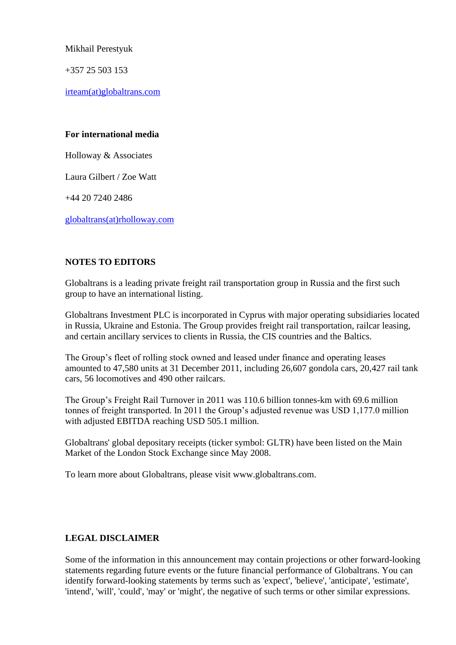Mikhail Perestyuk

+357 25 503 153

[irteam\(at\)globaltrans.com](mailto:irteam@globaltrans.com)

#### **For international media**

Holloway & Associates

Laura Gilbert / Zoe Watt

+44 20 7240 2486

[globaltrans\(at\)rholloway.com](mailto:globaltrans@rholloway.com)

#### **NOTES TO EDITORS**

Globaltrans is a leading private freight rail transportation group in Russia and the first such group to have an international listing.

Globaltrans Investment PLC is incorporated in Cyprus with major operating subsidiaries located in Russia, Ukraine and Estonia. The Group provides freight rail transportation, railcar leasing, and certain ancillary services to clients in Russia, the CIS countries and the Baltics.

The Group's fleet of rolling stock owned and leased under finance and operating leases amounted to 47,580 units at 31 December 2011, including 26,607 gondola cars, 20,427 rail tank cars, 56 locomotives and 490 other railcars.

The Group's Freight Rail Turnover in 2011 was 110.6 billion tonnes-km with 69.6 million tonnes of freight transported. In 2011 the Group's adjusted revenue was USD 1,177.0 million with adjusted EBITDA reaching USD 505.1 million.

Globaltrans' global depositary receipts (ticker symbol: GLTR) have been listed on the Main Market of the London Stock Exchange since May 2008.

To learn more about Globaltrans, please visit www.globaltrans.com.

## **LEGAL DISCLAIMER**

Some of the information in this announcement may contain projections or other forward-looking statements regarding future events or the future financial performance of Globaltrans. You can identify forward-looking statements by terms such as 'expect', 'believe', 'anticipate', 'estimate', 'intend', 'will', 'could', 'may' or 'might', the negative of such terms or other similar expressions.